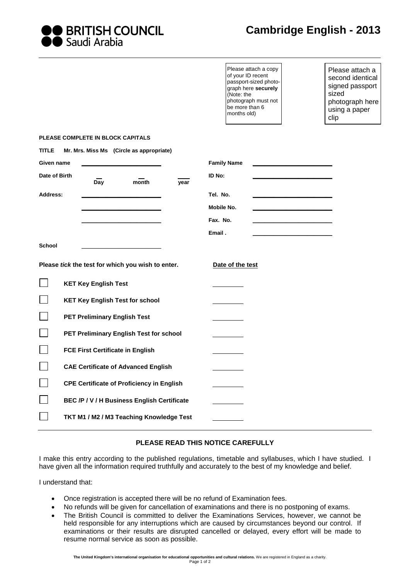

| <b>OO</b> BRITISH COUNCIL |
|---------------------------|
| ●● Saudi Arabia           |

| Please attach a copy  |
|-----------------------|
| of your ID recent     |
| passport-sized photo- |
| graph here securely   |
| (Note: the            |
| photograph must not   |
| be more than 6        |
| months old)           |
|                       |

Please attach a second identical signed passport sized photograph here using a paper clip

## **PLEASE COMPLETE IN BLOCK CAPITALS**

| <b>TITLE</b>                          | Mr. Mrs. Miss Ms (Circle as appropriate)          |                    |
|---------------------------------------|---------------------------------------------------|--------------------|
| Given name                            |                                                   | <b>Family Name</b> |
| Date of Birth<br>Day<br>month<br>year |                                                   | ID No:             |
| <b>Address:</b>                       |                                                   | Tel. No.           |
|                                       |                                                   | Mobile No.         |
|                                       |                                                   | Fax. No.           |
|                                       |                                                   | Email.             |
| <b>School</b>                         |                                                   |                    |
|                                       | Please tick the test for which you wish to enter. | Date of the test   |
|                                       | <b>KET Key English Test</b>                       |                    |
|                                       | <b>KET Key English Test for school</b>            |                    |
|                                       | <b>PET Preliminary English Test</b>               |                    |
|                                       | PET Preliminary English Test for school           |                    |
|                                       | <b>FCE First Certificate in English</b>           |                    |
|                                       | <b>CAE Certificate of Advanced English</b>        |                    |
|                                       | <b>CPE Certificate of Proficiency in English</b>  |                    |
|                                       | BEC /P / V / H Business English Certificate       |                    |
|                                       | TKT M1 / M2 / M3 Teaching Knowledge Test          |                    |

## **PLEASE READ THIS NOTICE CAREFULLY**

I make this entry according to the published regulations, timetable and syllabuses, which I have studied. I have given all the information required truthfully and accurately to the best of my knowledge and belief.

I understand that:

- Once registration is accepted there will be no refund of Examination fees.
- No refunds will be given for cancellation of examinations and there is no postponing of exams.
- The British Council is committed to deliver the Examinations Services, however, we cannot be held responsible for any interruptions which are caused by circumstances beyond our control. If examinations or their results are disrupted cancelled or delayed, every effort will be made to resume normal service as soon as possible.